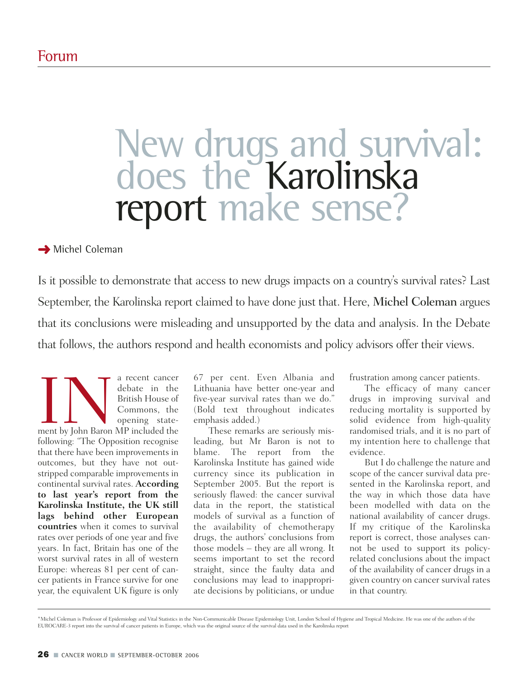# New drugs and survival: does the Karolinska report make sense?

# **→ Michel Coleman**

Is it possible to demonstrate that access to new drugs impacts on a country's survival rates? Last September, the Karolinska report claimed to have done just that. Here, Michel Coleman argues that its conclusions were misleading and unsupported by the data and analysis. In the Debate that follows, the authors respond and health economists and policy advisors offer their views.

THE REVIEW OF THE STATE OF THE STATE OF THE STATE OF THE STATE OF THE STATE OF THE STATE OF THE STATE OF THE STATE OF THE STATE OF THE STATE OF THE STATE OF THE STATE OF THE STATE OF THE STATE OF THE STATE OF THE STATE OF debate in the British House of Commons, the opening statefollowing: "The Opposition recognise that there have been improvements in outcomes, but they have not outstripped comparable improvements in continental survival rates. **According to last year's report from the Karolinska Institute, the UK still lags behind other European countries** when it comes to survival rates over periods of one year and five years. In fact, Britain has one of the worst survival rates in all of western Europe: whereas 81 per cent of cancer patients in France survive for one year, the equivalent UK figure is only

67 per cent. Even Albania and Lithuania have better one-year and five-year survival rates than we do." (Bold text throughout indicates emphasis added.)

These remarks are seriously misleading, but Mr Baron is not to blame. The report from the Karolinska Institute has gained wide currency since its publication in September 2005. But the report is seriously flawed: the cancer survival data in the report, the statistical models of survival as a function of the availability of chemotherapy drugs, the authors' conclusions from those models – they are all wrong. It seems important to set the record straight, since the faulty data and conclusions may lead to inappropriate decisions by politicians, or undue

frustration among cancer patients.

The efficacy of many cancer drugs in improving survival and reducing mortality is supported by solid evidence from high-quality randomised trials, and it is no part of my intention here to challenge that evidence.

But I do challenge the nature and scope of the cancer survival data presented in the Karolinska report, and the way in which those data have been modelled with data on the national availability of cancer drugs. If my critique of the Karolinska report is correct, those analyses cannot be used to support its policyrelated conclusions about the impact of the availability of cancer drugs in a given country on cancer survival rates in that country.

\*Michel Coleman is Professor of Epidemiology and Vital Statistics in the Non-Communicable Disease Epidemiology Unit, London School of Hygiene and Tropical Medicine. He was one of the authors of the EUROCARE-3 report into the survival of cancer patients in Europe, which was the original source of the survival data used in the Karolinska report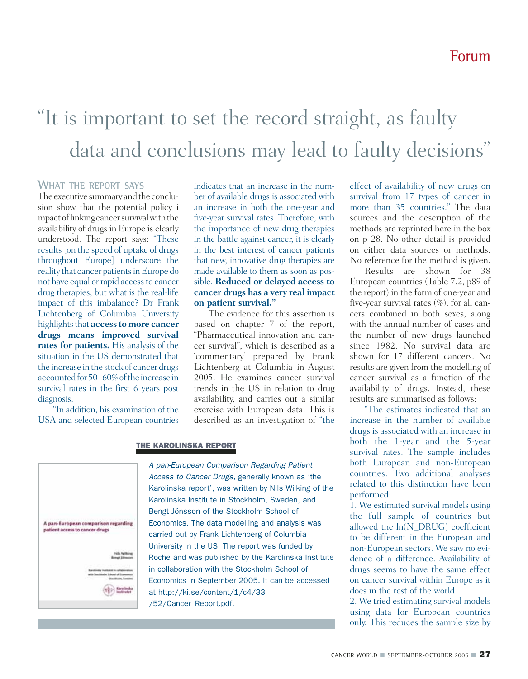# "It is important to set the record straight, as faulty data and conclusions may lead to faulty decisions"

# **WHAT THE REPORT SAYS**

The executive summary and the conclusion show that the potential policy i mpact of linking cancer survival with the availability of drugs in Europe is clearly understood. The report says: "These results [on the speed of uptake of drugs throughout Europe] underscore the reality that cancer patients in Europe do not have equal or rapid access to cancer drug therapies, but what is the real-life impact of this imbalance? Dr Frank Lichtenberg of Columbia University highlights that **access to more cancer drugs means improved survival rates for patients.** His analysis of the situation in the US demonstrated that the increase in the stock of cancer drugs accounted for 50–60% of the increase in survival rates in the first 6 years post diagnosis.

"In addition, his examination of the USA and selected European countries indicates that an increase in the number of available drugs is associated with an increase in both the one-year and five-year survival rates. Therefore, with the importance of new drug therapies in the battle against cancer, it is clearly in the best interest of cancer patients that new, innovative drug therapies are made available to them as soon as possible. **Reduced or delayed access to cancer drugs has a very real impact on patient survival."**

The evidence for this assertion is based on chapter 7 of the report, "Pharmaceutical innovation and cancer survival", which is described as a 'commentary' prepared by Frank Lichtenberg at Columbia in August 2005. He examines cancer survival trends in the US in relation to drug availability, and carries out a similar exercise with European data. This is described as an investigation of "the

### THE KAROLINSKA REPORT



*A pan-European Comparison Regarding Patient Access to Cancer Drugs*, generally known as 'the Karolinska report', was written by Nils Wilking of the Karolinska Institute in Stockholm, Sweden, and Bengt Jönsson of the Stockholm School of Economics. The data modelling and analysis was carried out by Frank Lichtenberg of Columbia University in the US. The report was funded by Roche and was published by the Karolinska Institute in collaboration with the Stockholm School of Economics in September 2005. It can be accessed at http://ki.se/content/1/c4/33 /52/Cancer\_Report.pdf.

effect of availability of new drugs on survival from 17 types of cancer in more than 35 countries." The data sources and the description of the methods are reprinted here in the box on p 28. No other detail is provided on either data sources or methods. No reference for the method is given.

Results are shown for 38 European countries (Table 7.2, p89 of the report) in the form of one-year and five-year survival rates  $(\%)$ , for all cancers combined in both sexes, along with the annual number of cases and the number of new drugs launched since 1982. No survival data are shown for 17 different cancers. No results are given from the modelling of cancer survival as a function of the availability of drugs. Instead, these results are summarised as follows:

"The estimates indicated that an increase in the number of available drugs is associated with an increase in both the 1-year and the 5-year survival rates. The sample includes both European and non-European countries. Two additional analyses related to this distinction have been performed:

1. We estimated survival models using the full sample of countries but allowed the ln(N\_DRUG) coefficient to be different in the European and non-European sectors. We saw no evidence of a difference. Availability of drugs seems to have the same effect on cancer survival within Europe as it does in the rest of the world.

2. We tried estimating survival models using data for European countries only. This reduces the sample size by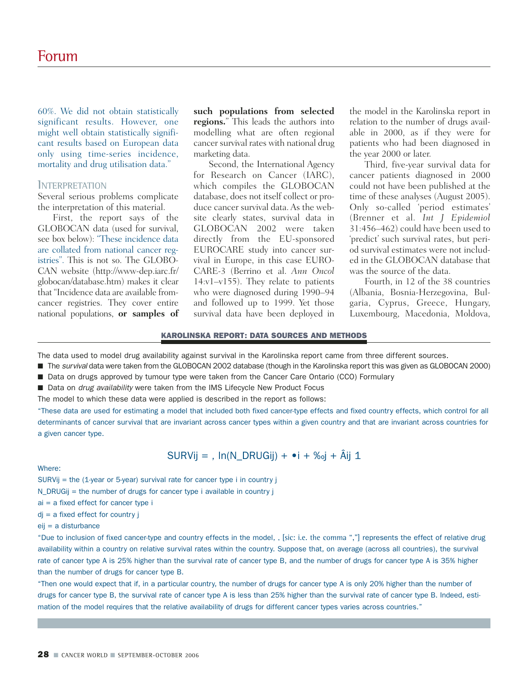60%. We did not obtain statistically significant results. However, one might well obtain statistically significant results based on European data only using time-series incidence, mortality and drug utilisation data."

### **INTERPRETATION**

Several serious problems complicate the interpretation of this material.

First, the report says of the GLOBOCAN data (used for survival, see box below): "These incidence data are collated from national cancer registries". This is not so. The GLOBO-CAN website (http://www-dep.iarc.fr/ globocan/database.htm) makes it clear that "Incidence data are available fromcancer registries. They cover entire national populations, **or samples of**

**such populations from selected regions.**" This leads the authors into modelling what are often regional cancer survival rates with national drug marketing data.

Second, the International Agency for Research on Cancer (IARC), which compiles the GLOBOCAN database, does not itself collect or produce cancer survival data. As the website clearly states, survival data in GLOBOCAN 2002 were taken directly from the EU-sponsored EUROCARE study into cancer survival in Europe, in this case EURO-CARE-3 (Berrino et al. *Ann Oncol* 14:v1–v155). They relate to patients who were diagnosed during 1990–94 and followed up to 1999. Yet those survival data have been deployed in

the model in the Karolinska report in relation to the number of drugs available in 2000, as if they were for patients who had been diagnosed in the year 2000 or later.

Third, five-year survival data for cancer patients diagnosed in 2000 could not have been published at the time of these analyses (August 2005). Only so-called 'period estimates' (Brenner et al. *Int J Epidemiol* 31:456–462) could have been used to 'predict' such survival rates, but period survival estimates were not included in the GLOBOCAN database that was the source of the data.

Fourth, in 12 of the 38 countries (Albania, Bosnia-Herzegovina, Bulgaria, Cyprus, Greece, Hungary, Luxembourg, Macedonia, Moldova,

### KAROLINSKA REPORT: DATA SOURCES AND METHODS

The data used to model drug availability against survival in the Karolinska report came from three different sources.

- The *survival* data were taken from the GLOBOCAN 2002 database (though in the Karolinska report this was given as GLOBOCAN 2000)
- Data on drugs approved by tumour type were taken from the Cancer Care Ontario (CCO) Formulary
- Data on *drug availability* were taken from the IMS Lifecycle New Product Focus

The model to which these data were applied is described in the report as follows:

"These data are used for estimating a model that included both fixed cancer-type effects and fixed country effects, which control for all determinants of cancer survival that are invariant across cancer types within a given country and that are invariant across countries for a given cancer type.

# SURVij = ,  $ln(N)$  DRUGij) + •i + ‰j + Âij 1

### Where:

SURVij = the (1-year or 5-year) survival rate for cancer type i in country j

- N\_DRUGij = the number of drugs for cancer type i available in country j
- ai = a fixed effect for cancer type i
- $di = a$  fixed effect for country  $i$

### eij = a disturbance

"Due to inclusion of fixed cancer-type and country effects in the model, , [sic: i.e. the comma ","] represents the effect of relative drug availability within a country on relative survival rates within the country. Suppose that, on average (across all countries), the survival rate of cancer type A is 25% higher than the survival rate of cancer type B, and the number of drugs for cancer type A is 35% higher than the number of drugs for cancer type B.

"Then one would expect that if, in a particular country, the number of drugs for cancer type A is only 20% higher than the number of drugs for cancer type B, the survival rate of cancer type A is less than 25% higher than the survival rate of cancer type B. Indeed, estimation of the model requires that the relative availability of drugs for different cancer types varies across countries."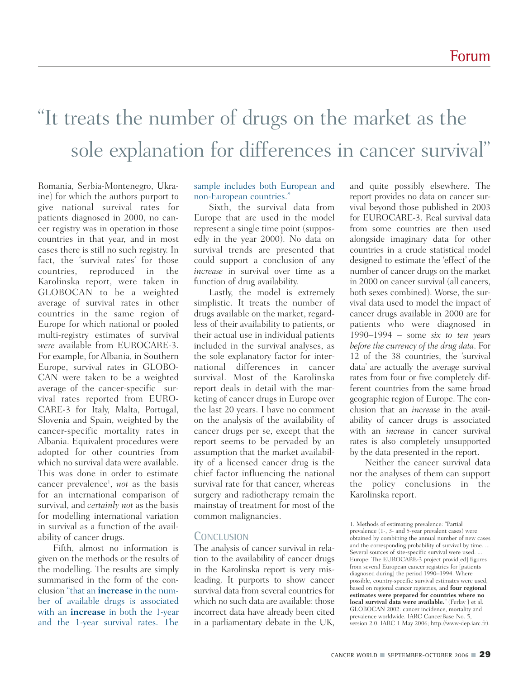# "It treats the number of drugs on the market as the sole explanation for differences in cancer survival"

Romania, Serbia-Montenegro, Ukraine) for which the authors purport to give national survival rates for patients diagnosed in 2000, no cancer registry was in operation in those countries in that year, and in most cases there is still no such registry. In fact, the 'survival rates' for those countries, reproduced in the Karolinska report, were taken in GLOBOCAN to be a weighted average of survival rates in other countries in the same region of Europe for which national or pooled multi-registry estimates of survival *were* available from EUROCARE-3. For example, for Albania, in Southern Europe, survival rates in GLOBO-CAN were taken to be a weighted average of the cancer-specific survival rates reported from EURO-CARE-3 for Italy, Malta, Portugal, Slovenia and Spain, weighted by the cancer-specific mortality rates in Albania. Equivalent procedures were adopted for other countries from which no survival data were available. This was done in order to estimate cancer prevalence<sup>1</sup>, *not* as the basis for an international comparison of survival, and *certainly not* as the basis for modelling international variation in survival as a function of the availability of cancer drugs.

Fifth, almost no information is given on the methods or the results of the modelling. The results are simply summarised in the form of the conclusion "that an **increase** in the number of available drugs is associated with an **increase** in both the 1-year and the 1-year survival rates. The

sample includes both European and non-European countries."

Sixth, the survival data from Europe that are used in the model represent a single time point (supposedly in the year 2000). No data on survival trends are presented that could support a conclusion of any *increase* in survival over time as a function of drug availability.

Lastly, the model is extremely simplistic. It treats the number of drugs available on the market, regardless of their availability to patients, or their actual use in individual patients included in the survival analyses, as the sole explanatory factor for international differences in cancer survival. Most of the Karolinska report deals in detail with the marketing of cancer drugs in Europe over the last 20 years. I have no comment on the analysis of the availability of cancer drugs per se, except that the report seems to be pervaded by an assumption that the market availability of a licensed cancer drug is the chief factor influencing the national survival rate for that cancer, whereas surgery and radiotherapy remain the mainstay of treatment for most of the common malignancies.

# **CONCLUSION**

The analysis of cancer survival in relation to the availability of cancer drugs in the Karolinska report is very misleading. It purports to show cancer survival data from several countries for which no such data are available: those incorrect data have already been cited in a parliamentary debate in the UK,

and quite possibly elsewhere. The report provides no data on cancer survival beyond those published in 2003 for EUROCARE-3. Real survival data from some countries are then used alongside imaginary data for other countries in a crude statistical model designed to estimate the 'effect' of the number of cancer drugs on the market in 2000 on cancer survival (all cancers, both sexes combined). Worse, the survival data used to model the impact of cancer drugs available in 2000 are for patients who were diagnosed in 1990–1994 – some *six to ten years before the currency of the drug data*. For 12 of the 38 countries, the 'survival data' are actually the average survival rates from four or five completely different countries from the same broad geographic region of Europe. The conclusion that an *increase* in the availability of cancer drugs is associated with an *increase* in cancer survival rates is also completely unsupported by the data presented in the report.

Neither the cancer survival data nor the analyses of them can support the policy conclusions in the Karolinska report.

<sup>1.</sup> Methods of estimating prevalence: "Partial prevalence (1-, 3- and 5-year prevalent cases) were obtained by combining the annual number of new cases and the corresponding probability of survival by time. ... Several sources of site-specific survival were used. ... Europe: The EUROCARE-3 project provid[ed] figures from several European cancer registries for [patients diagnosed during] the period 1990–1994. Where possible, country-specific survival estimates were used, based on regional cancer registries, and **four regional estimates were prepared for countries where no local survival data were available.**" (Ferlay J et al. GLOBOCAN 2002: cancer incidence, mortality and prevalence worldwide. IARC CancerBase No. 5, version 2.0. IARC 1 May 2006; http://www-dep.iarc.fr).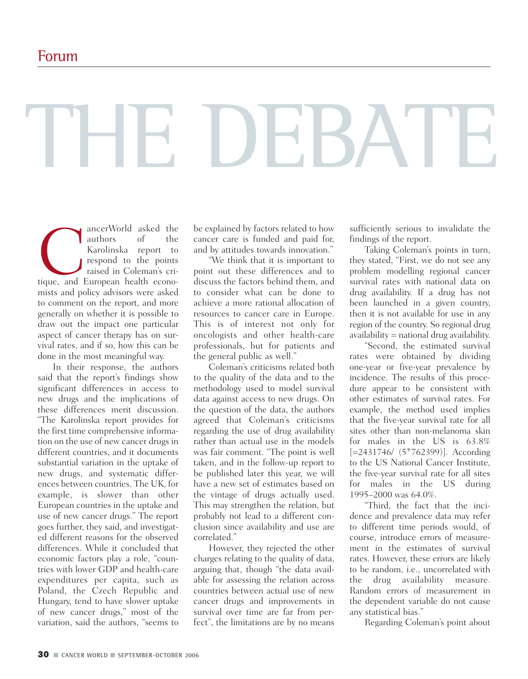# THE DEBATE

ancerWorld asked the<br>
authors of the<br>
Karolinska report to<br>
respond to the points<br>
raised in Coleman's cri-<br>
tique, and European health econoauthors of the Karolinska report to respond to the points raised in Coleman's crimists and policy advisors were asked to comment on the report, and more generally on whether it is possible to draw out the impact one particular aspect of cancer therapy has on survival rates, and if so, how this can be done in the most meaningful way.

In their response, the authors said that the report's findings show significant differences in access to new drugs and the implications of these differences merit discussion. "The Karolinska report provides for the first time comprehensive information on the use of new cancer drugs in different countries, and it documents substantial variation in the uptake of new drugs, and systematic differences between countries. The UK, for example, is slower than other European countries in the uptake and use of new cancer drugs." The report goes further, they said, and investigated different reasons for the observed differences. While it concluded that economic factors play a role, "countries with lower GDP and health-care expenditures per capita, such as Poland, the Czech Republic and Hungary, tend to have slower uptake of new cancer drugs," most of the variation, said the authors, "seems to

be explained by factors related to how cancer care is funded and paid for, and by attitudes towards innovation."

"We think that it is important to point out these differences and to discuss the factors behind them, and to consider what can be done to achieve a more rational allocation of resources to cancer care in Europe. This is of interest not only for oncologists and other health-care professionals, but for patients and the general public as well."

Coleman's criticisms related both to the quality of the data and to the methodology used to model survival data against access to new drugs. On the question of the data, the authors agreed that Coleman's criticisms regarding the use of drug availability rather than actual use in the models was fair comment. "The point is well taken, and in the follow-up report to be published later this year, we will have a new set of estimates based on the vintage of drugs actually used. This may strengthen the relation, but probably not lead to a different conclusion since availability and use are correlated."

However, they rejected the other charges relating to the quality of data, arguing that, though "the data available for assessing the relation across countries between actual use of new cancer drugs and improvements in survival over time are far from perfect", the limitations are by no means

sufficiently serious to invalidate the findings of the report.

Taking Coleman's points in turn, they stated, "First, we do not see any problem modelling regional cancer survival rates with national data on drug availability. If a drug has not been launched in a given country, then it is not available for use in any region of the country. So regional drug availability = national drug availability.

"Second, the estimated survival rates were obtained by dividing one-year or five-year prevalence by incidence. The results of this procedure appear to be consistent with other estimates of survival rates. For example, the method used implies that the five-year survival rate for all sites other than non-melanoma skin for males in the US is 63.8% [=2431746/ (5\*762399)]. According to the US National Cancer Institute, the five-year survival rate for all sites for males in the US during 1995–2000 was 64.0%.

"Third, the fact that the incidence and prevalence data may refer to different time periods would, of course, introduce errors of measurement in the estimates of survival rates. However, these errors are likely to be random, i.e., uncorrelated with the drug availability measure. Random errors of measurement in the dependent variable do not cause any statistical bias."

Regarding Coleman's point about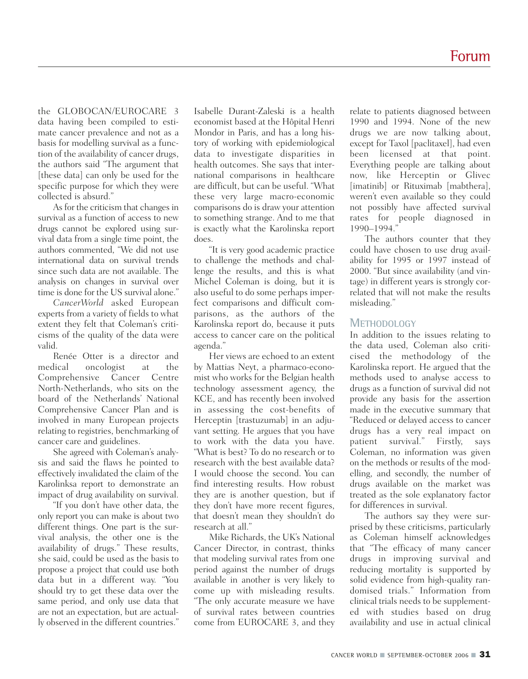the GLOBOCAN/EUROCARE 3 data having been compiled to estimate cancer prevalence and not as a basis for modelling survival as a function of the availability of cancer drugs, the authors said "The argument that [these data] can only be used for the specific purpose for which they were collected is absurd."

As for the criticism that changes in survival as a function of access to new drugs cannot be explored using survival data from a single time point, the authors commented, "We did not use international data on survival trends since such data are not available. The analysis on changes in survival over time is done for the US survival alone."

*CancerWorld* asked European experts from a variety of fields to what extent they felt that Coleman's criticisms of the quality of the data were valid.

Renée Otter is a director and medical oncologist at the<br>Comprehensive Cancer Centre Comprehensive Cancer North-Netherlands, who sits on the board of the Netherlands' National Comprehensive Cancer Plan and is involved in many European projects relating to registries, benchmarking of cancer care and guidelines.

She agreed with Coleman's analysis and said the flaws he pointed to effectively invalidated the claim of the Karolinksa report to demonstrate an impact of drug availability on survival.

"If you don't have other data, the only report you can make is about two different things. One part is the survival analysis, the other one is the availability of drugs." These results, she said, could be used as the basis to propose a project that could use both data but in a different way. "You should try to get these data over the same period, and only use data that are not an expectation, but are actually observed in the different countries."

Isabelle Durant-Zaleski is a health economist based at the Hôpital Henri Mondor in Paris, and has a long history of working with epidemiological data to investigate disparities in health outcomes. She says that international comparisons in healthcare are difficult, but can be useful. "What these very large macro-economic comparisons do is draw your attention to something strange. And to me that is exactly what the Karolinska report does.

"It is very good academic practice to challenge the methods and challenge the results, and this is what Michel Coleman is doing, but it is also useful to do some perhaps imperfect comparisons and difficult comparisons, as the authors of the Karolinska report do, because it puts access to cancer care on the political agenda."

Her views are echoed to an extent by Mattias Neyt, a pharmaco-economist who works for the Belgian health technology assessment agency, the KCE, and has recently been involved in assessing the cost-benefits of Herceptin [trastuzumab] in an adjuvant setting. He argues that you have to work with the data you have. "What is best? To do no research or to research with the best available data? I would choose the second. You can find interesting results. How robust they are is another question, but if they don't have more recent figures, that doesn't mean they shouldn't do research at all."

Mike Richards, the UK's National Cancer Director, in contrast, thinks that modeling survival rates from one period against the number of drugs available in another is very likely to come up with misleading results. "The only accurate measure we have of survival rates between countries come from EUROCARE 3, and they

relate to patients diagnosed between 1990 and 1994. None of the new drugs we are now talking about, except for Taxol [paclitaxel], had even been licensed at that point. Everything people are talking about now, like Herceptin or Glivec [imatinib] or Rituximab [mabthera], weren't even available so they could not possibly have affected survival rates for people diagnosed in 1990–1994."

The authors counter that they could have chosen to use drug availability for 1995 or 1997 instead of 2000. "But since availability (and vintage) in different years is strongly correlated that will not make the results misleading."

# **METHODOLOGY**

In addition to the issues relating to the data used, Coleman also criticised the methodology of the Karolinska report. He argued that the methods used to analyse access to drugs as a function of survival did not provide any basis for the assertion made in the executive summary that "Reduced or delayed access to cancer drugs has a very real impact on patient survival." Firstly, says Coleman, no information was given on the methods or results of the modelling, and secondly, the number of drugs available on the market was treated as the sole explanatory factor for differences in survival.

The authors say they were surprised by these criticisms, particularly as Coleman himself acknowledges that "The efficacy of many cancer drugs in improving survival and reducing mortality is supported by solid evidence from high-quality randomised trials." Information from clinical trials needs to be supplemented with studies based on drug availability and use in actual clinical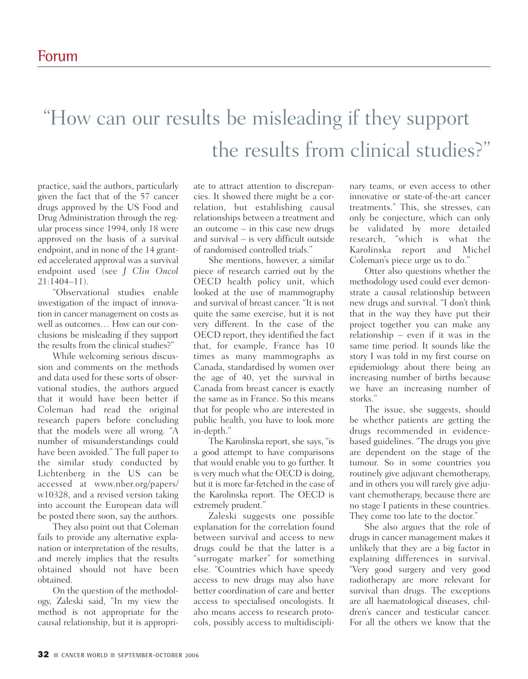# "How can our results be misleading if they support the results from clinical studies?"

practice, said the authors, particularly given the fact that of the 57 cancer drugs approved by the US Food and Drug Administration through the regular process since 1994, only 18 were approved on the basis of a survival endpoint, and in none of the 14 granted accelerated approval was a survival endpoint used (see *J Clin Oncol* 21:1404–11).

"Observational studies enable investigation of the impact of innovation in cancer management on costs as well as outcomes… How can our conclusions be misleading if they support the results from the clinical studies?"

While welcoming serious discussion and comments on the methods and data used for these sorts of observational studies, the authors argued that it would have been better if Coleman had read the original research papers before concluding that the models were all wrong. "A number of misunderstandings could have been avoided." The full paper to the similar study conducted by Lichtenberg in the US can be accessed at www.nber.org/papers/ w10328, and a revised version taking into account the European data will be posted there soon, say the authors.

They also point out that Coleman fails to provide any alternative explanation or interpretation of the results, and merely implies that the results obtained should not have been obtained.

On the question of the methodology, Zaleski said, "In my view the method is not appropriate for the causal relationship, but it is appropri-

ate to attract attention to discrepancies. It showed there might be a correlation, but establishing causal relationships between a treatment and an outcome – in this case new drugs and survival – is very difficult outside of randomised controlled trials."

She mentions, however, a similar piece of research carried out by the OECD health policy unit, which looked at the use of mammography and survival of breast cancer. "It is not quite the same exercise, but it is not very different. In the case of the OECD report, they identified the fact that, for example, France has 10 times as many mammographs as Canada, standardised by women over the age of 40, yet the survival in Canada from breast cancer is exactly the same as in France. So this means that for people who are interested in public health, you have to look more in-depth."

The Karolinska report, she says, "is a good attempt to have comparisons that would enable you to go further. It is very much what the OECD is doing, but it is more far-fetched in the case of the Karolinska report. The OECD is extremely prudent."

Zaleski suggests one possible explanation for the correlation found between survival and access to new drugs could be that the latter is a "surrogate marker" for something else. "Countries which have speedy access to new drugs may also have better coordination of care and better access to specialised oncologists. It also means access to research protocols, possibly access to multidisciplinary teams, or even access to other innovative or state-of-the-art cancer treatments." This, she stresses, can only be conjecture, which can only be validated by more detailed research, "which is what the Karolinska report and Michel Coleman's piece urge us to do."

Otter also questions whether the methodology used could ever demonstrate a causal relationship between new drugs and survival. "I don't think that in the way they have put their project together you can make any relationship – even if it was in the same time period. It sounds like the story I was told in my first course on epidemiology about there being an increasing number of births because we have an increasing number of storks."

The issue, she suggests, should be whether patients are getting the drugs recommended in evidencebased guidelines. "The drugs you give are dependent on the stage of the tumour. So in some countries you routinely give adjuvant chemotherapy, and in others you will rarely give adjuvant chemotherapy, because there are no stage I patients in these countries. They come too late to the doctor."

She also argues that the role of drugs in cancer management makes it unlikely that they are a big factor in explaining differences in survival. "Very good surgery and very good radiotherapy are more relevant for survival than drugs. The exceptions are all haematological diseases, children's cancer and testicular cancer. For all the others we know that the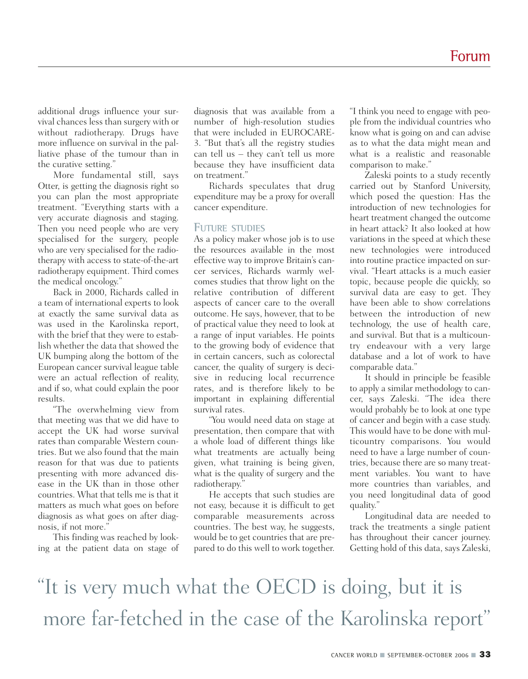additional drugs influence your survival chances less than surgery with or without radiotherapy. Drugs have more influence on survival in the palliative phase of the tumour than in the curative setting."

More fundamental still, says Otter, is getting the diagnosis right so you can plan the most appropriate treatment. "Everything starts with a very accurate diagnosis and staging. Then you need people who are very specialised for the surgery, people who are very specialised for the radiotherapy with access to state-of-the-art radiotherapy equipment. Third comes the medical oncology."

Back in 2000, Richards called in a team of international experts to look at exactly the same survival data as was used in the Karolinska report, with the brief that they were to establish whether the data that showed the UK bumping along the bottom of the European cancer survival league table were an actual reflection of reality, and if so, what could explain the poor results.

"The overwhelming view from that meeting was that we did have to accept the UK had worse survival rates than comparable Western countries. But we also found that the main reason for that was due to patients presenting with more advanced disease in the UK than in those other countries. What that tells me is that it matters as much what goes on before diagnosis as what goes on after diagnosis, if not more."

This finding was reached by looking at the patient data on stage of diagnosis that was available from a number of high-resolution studies that were included in EUROCARE-3. "But that's all the registry studies can tell us – they can't tell us more because they have insufficient data on treatment."

Richards speculates that drug expenditure may be a proxy for overall cancer expenditure.

## **FUTURE STUDIES**

As a policy maker whose job is to use the resources available in the most effective way to improve Britain's cancer services, Richards warmly welcomes studies that throw light on the relative contribution of different aspects of cancer care to the overall outcome. He says, however, that to be of practical value they need to look at a range of input variables. He points to the growing body of evidence that in certain cancers, such as colorectal cancer, the quality of surgery is decisive in reducing local recurrence rates, and is therefore likely to be important in explaining differential survival rates.

"You would need data on stage at presentation, then compare that with a whole load of different things like what treatments are actually being given, what training is being given, what is the quality of surgery and the radiotherapy."

He accepts that such studies are not easy, because it is difficult to get comparable measurements across countries. The best way, he suggests, would be to get countries that are prepared to do this well to work together.

"I think you need to engage with people from the individual countries who know what is going on and can advise as to what the data might mean and what is a realistic and reasonable comparison to make."

Zaleski points to a study recently carried out by Stanford University, which posed the question: Has the introduction of new technologies for heart treatment changed the outcome in heart attack? It also looked at how variations in the speed at which these new technologies were introduced into routine practice impacted on survival. "Heart attacks is a much easier topic, because people die quickly, so survival data are easy to get. They have been able to show correlations between the introduction of new technology, the use of health care, and survival. But that is a multicountry endeavour with a very large database and a lot of work to have comparable data."

It should in principle be feasible to apply a similar methodology to cancer, says Zaleski. "The idea there would probably be to look at one type of cancer and begin with a case study. This would have to be done with multicountry comparisons. You would need to have a large number of countries, because there are so many treatment variables. You want to have more countries than variables, and you need longitudinal data of good quality."

Longitudinal data are needed to track the treatments a single patient has throughout their cancer journey. Getting hold of this data, says Zaleski,

"It is very much what the OECD is doing, but it is more far-fetched in the case of the Karolinska report"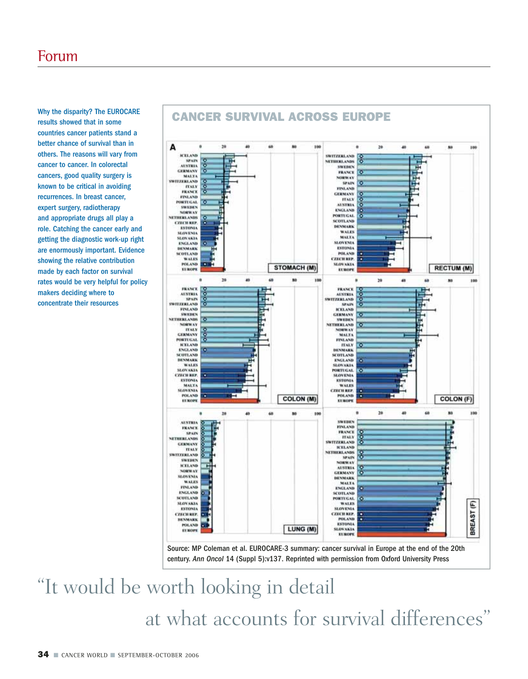Why the disparity? The EUROCARE results showed that in some countries cancer patients stand a better chance of survival than in others. The reasons will vary from cancer to cancer. In colorectal cancers, good quality surgery is known to be critical in avoiding recurrences. In breast cancer, expert surgery, radiotherapy and appropriate drugs all play a role. Catching the cancer early and getting the diagnostic work-up right are enormously important. Evidence showing the relative contribution made by each factor on survival rates would be very helpful for policy makers deciding where to concentrate their resources



Source: MP Coleman et al. EUROCARE-3 summary: cancer survival in Europe at the end of the 20th century. *Ann Oncol* 14 (Suppl 5):v137. Reprinted with permission from Oxford University Press

# "It would be worth looking in detail at what accounts for survival differences"